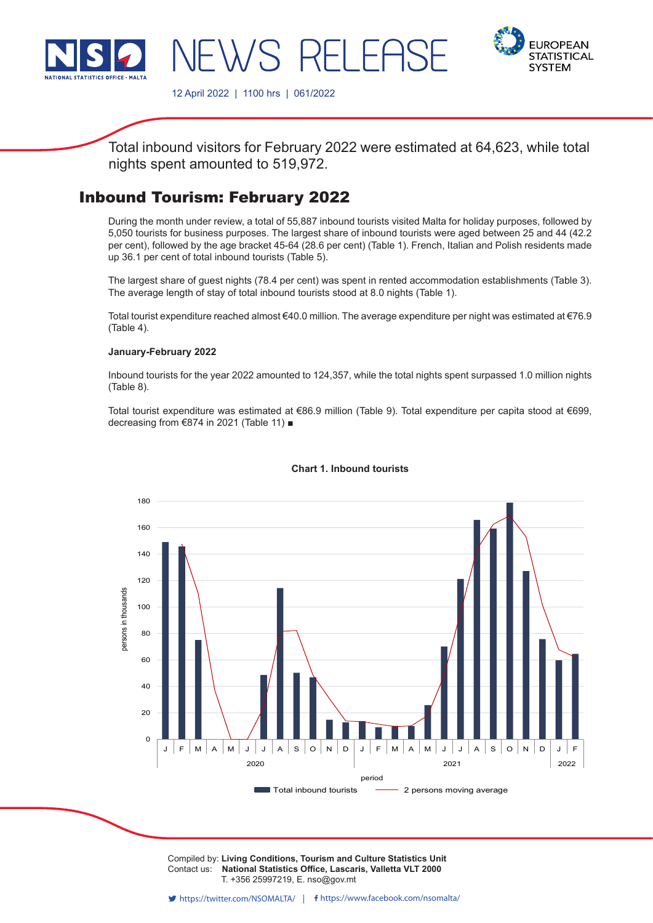

-21 F



12 April 2022 | 1100 hrs | 061/2022

Total inbound visitors for February 2022 were estimated at 64,623, while total nights spent amounted to 519,972.

# Inbound Tourism: February 2022

During the month under review, a total of 55,887 inbound tourists visited Malta for holiday purposes, followed by 5,050 tourists for business purposes. The largest share of inbound tourists were aged between 25 and 44 (42.2 per cent), followed by the age bracket 45-64 (28.6 per cent) (Table 1). French, Italian and Polish residents made up 36.1 per cent of total inbound tourists (Table 5).

The largest share of guest nights (78.4 per cent) was spent in rented accommodation establishments (Table 3). The average length of stay of total inbound tourists stood at 8.0 nights (Table 1).

Total tourist expenditure reached almost €40.0 million. The average expenditure per night was estimated at €76.9 (Table 4).

#### **January-February 2022**

Inbound tourists for the year 2022 amounted to 124,357, while the total nights spent surpassed 1.0 million nights (Table 8).

Total tourist expenditure was estimated at €86.9 million (Table 9). Total expenditure per capita stood at €699, decreasing from €874 in 2021 (Table 11) ■



## **Chart 1. Inbound tourists**

Compiled by: **Living Conditions, Tourism and Culture Statistics Unit**<br>Contact use. **National Statistics Office, Locargia, Vallatto VLT 2000** Contact us: National Statistics Office, Lascaris, Valletta VLT 2000  $\sum_{i=1}^{n}$   $\sum_{i=1}^{n}$   $\sum_{i=1}^{n}$   $\sum_{i=1}^{n}$   $\sum_{i=1}^{n}$   $\sum_{i=1}^{n}$   $\sum_{i=1}^{n}$ T. +356 25997219, E. nso@gov.mt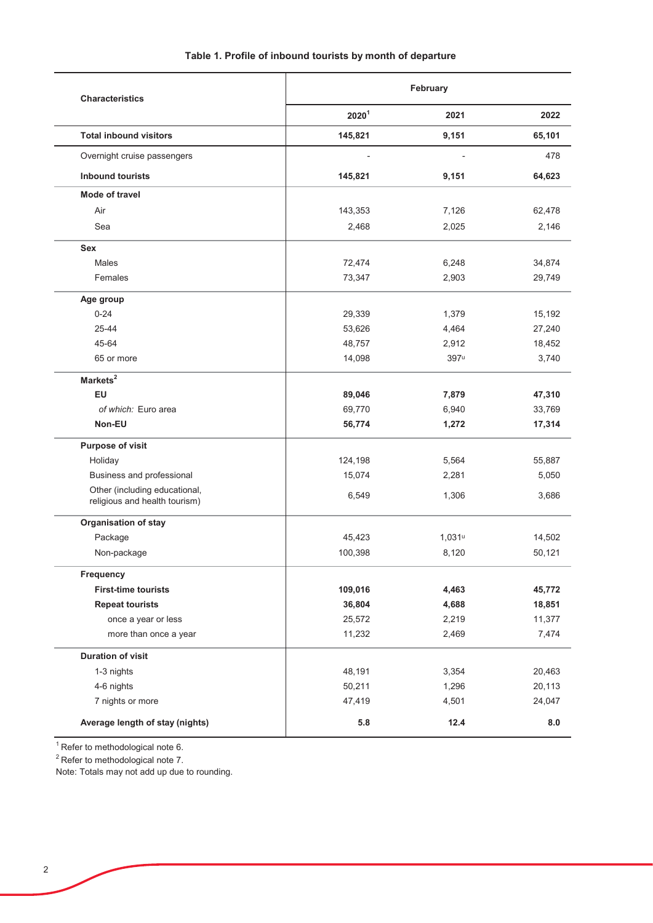| <b>Characteristics</b>                                         | February |           |        |  |
|----------------------------------------------------------------|----------|-----------|--------|--|
|                                                                | $2020^1$ | 2021      | 2022   |  |
| <b>Total inbound visitors</b>                                  | 145,821  | 9,151     | 65,101 |  |
| Overnight cruise passengers                                    |          |           | 478    |  |
| <b>Inbound tourists</b>                                        | 145,821  | 9,151     | 64,623 |  |
| Mode of travel                                                 |          |           |        |  |
| Air                                                            | 143,353  | 7,126     | 62,478 |  |
| Sea                                                            | 2,468    | 2,025     | 2,146  |  |
| <b>Sex</b>                                                     |          |           |        |  |
| <b>Males</b>                                                   | 72,474   | 6,248     | 34,874 |  |
| Females                                                        | 73,347   | 2,903     | 29,749 |  |
| Age group                                                      |          |           |        |  |
| $0 - 24$                                                       | 29,339   | 1,379     | 15,192 |  |
| 25-44                                                          | 53,626   | 4,464     | 27,240 |  |
| 45-64                                                          | 48,757   | 2,912     | 18,452 |  |
| 65 or more                                                     | 14,098   | 397u      | 3,740  |  |
| Markets <sup>2</sup>                                           |          |           |        |  |
| EU                                                             | 89,046   | 7,879     | 47,310 |  |
| of which: Euro area                                            | 69,770   | 6,940     | 33,769 |  |
| Non-EU                                                         | 56,774   | 1,272     | 17,314 |  |
| Purpose of visit                                               |          |           |        |  |
| Holiday                                                        | 124,198  | 5,564     | 55,887 |  |
| Business and professional                                      | 15,074   | 2,281     | 5,050  |  |
| Other (including educational,<br>religious and health tourism) | 6,549    | 1,306     | 3,686  |  |
| Organisation of stay                                           |          |           |        |  |
| Package                                                        | 45,423   | $1,031$ u | 14,502 |  |
| Non-package                                                    | 100,398  | 8,120     | 50,121 |  |
| Frequency                                                      |          |           |        |  |
| <b>First-time tourists</b>                                     | 109,016  | 4,463     | 45,772 |  |
| <b>Repeat tourists</b>                                         | 36,804   | 4,688     | 18,851 |  |
| once a year or less                                            | 25,572   | 2,219     | 11,377 |  |
| more than once a year                                          | 11,232   | 2,469     | 7,474  |  |
| <b>Duration of visit</b>                                       |          |           |        |  |
| 1-3 nights                                                     | 48,191   | 3,354     | 20,463 |  |
| 4-6 nights                                                     | 50,211   | 1,296     | 20,113 |  |
| 7 nights or more                                               | 47,419   | 4,501     | 24,047 |  |
| Average length of stay (nights)                                | 5.8      | 12.4      | 8.0    |  |
|                                                                |          |           |        |  |

 $\overline{1}$  Refer to methodological note 6.

<sup>2</sup> Refer to methodological note 7.<br>Note: Totals may not add up due to rounding.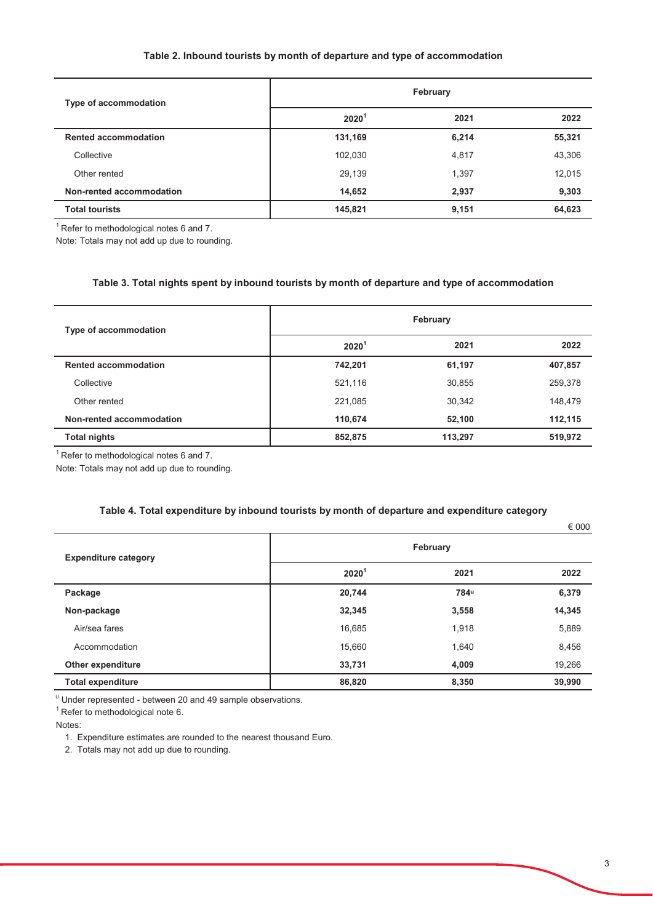### Table 2. Inbound tourists by month of departure and type of accommodation

| Type of accommodation       | February          |       |        |  |
|-----------------------------|-------------------|-------|--------|--|
|                             | 2020 <sup>1</sup> | 2021  | 2022   |  |
| <b>Rented accommodation</b> | 131,169           | 6,214 | 55,321 |  |
| Collective                  | 102,030           | 4,817 | 43,306 |  |
| Other rented                | 29,139            | 1,397 | 12,015 |  |
| Non-rented accommodation    | 14,652            | 2,937 | 9,303  |  |
| <b>Total tourists</b>       | 145,821           | 9,151 | 64,623 |  |

 $1$  Refer to methodological notes 6 and 7.

Note: Totals may not add up due to rounding.

#### Table 3. Total nights spent by inbound tourists by month of departure and type of accommodation

| Type of accommodation       | February          |         |         |  |  |
|-----------------------------|-------------------|---------|---------|--|--|
|                             | 2020 <sup>1</sup> | 2021    | 2022    |  |  |
| <b>Rented accommodation</b> | 742,201           | 61,197  | 407,857 |  |  |
| Collective                  | 521,116           | 30,855  | 259,378 |  |  |
| Other rented                | 221.085           | 30,342  | 148,479 |  |  |
| Non-rented accommodation    | 110,674           | 52,100  | 112,115 |  |  |
| <b>Total nights</b>         | 852,875           | 113,297 | 519,972 |  |  |

 $1$  Refer to methodological notes 6 and 7.

Note: Totals may not add up due to rounding.

#### Table 4. Total expenditure by inbound tourists by month of departure and expenditure category

|                             |                   |          | € 000  |
|-----------------------------|-------------------|----------|--------|
| <b>Expenditure category</b> |                   | February |        |
|                             | 2020 <sup>1</sup> | 2021     | 2022   |
| Package                     | 20,744            | 784u     | 6,379  |
| Non-package                 | 32,345            | 3,558    | 14,345 |
| Air/sea fares               | 16,685            | 1,918    | 5,889  |
| Accommodation               | 15,660            | 1,640    | 8,456  |
| Other expenditure           | 33,731            | 4,009    | 19,266 |
| <b>Total expenditure</b>    | 86,820            | 8,350    | 39,990 |

" Under represented - between 20 and 49 sample observations.

 $1$  Refer to methodological note 6.

Notes:

1. Expenditure estimates are rounded to the nearest thousand Euro.

2. Totals may not add up due to rounding.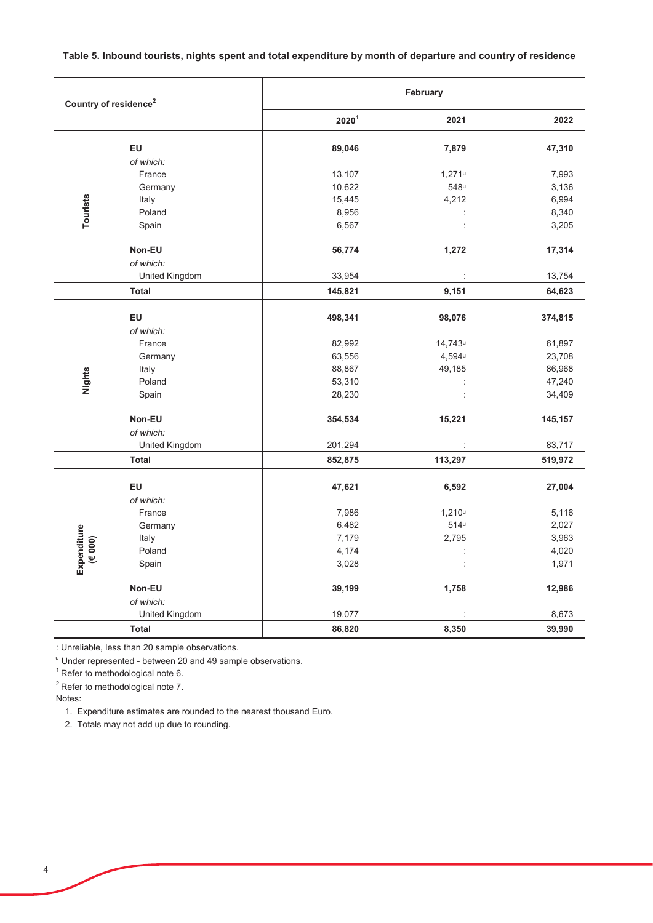Table 5. Inbound tourists, nights spent and total expenditure by month of departure and country of residence

|             | Country of residence <sup>2</sup> |                   | February             |         |
|-------------|-----------------------------------|-------------------|----------------------|---------|
|             |                                   | 2020 <sup>1</sup> | 2021                 | 2022    |
|             | EU                                | 89,046            | 7,879                | 47,310  |
|             | of which:                         |                   |                      |         |
|             | France                            | 13,107            | $1,271$ u            | 7,993   |
|             | Germany                           | 10,622            | 548u                 | 3,136   |
|             | Italy                             | 15,445            | 4,212                | 6,994   |
| Tourists    | Poland                            | 8,956             | $\ddot{\phantom{a}}$ | 8,340   |
|             | Spain                             | 6,567             | $\vdots$             | 3,205   |
|             | Non-EU                            | 56,774            | 1,272                | 17,314  |
|             | of which:                         |                   |                      |         |
|             | United Kingdom                    | 33,954            |                      | 13,754  |
|             | Total                             | 145,821           | 9,151                | 64,623  |
|             | EU                                | 498,341           | 98,076               | 374,815 |
|             | of which:                         |                   |                      |         |
|             | France                            | 82,992            | 14,743u              | 61,897  |
|             | Germany                           | 63,556            | 4,594u               | 23,708  |
|             | Italy                             | 88,867            | 49,185               | 86,968  |
| Nights      | Poland                            | 53,310            |                      | 47,240  |
|             | Spain                             | 28,230            | $\colon$             | 34,409  |
|             | Non-EU                            | 354,534           | 15,221               | 145,157 |
|             | of which:                         |                   |                      |         |
|             | United Kingdom                    | 201,294           |                      | 83,717  |
|             | Total                             | 852,875           | 113,297              | 519,972 |
|             | EU                                | 47,621            | 6,592                | 27,004  |
|             | of which:                         |                   |                      |         |
|             | France                            | 7,986             | 1,210 <sup>u</sup>   | 5,116   |
|             | Germany                           | 6,482             | $514^u$              | 2,027   |
|             | Italy                             | 7,179             | 2,795                | 3,963   |
| (6000)      | Poland                            | 4,174             |                      | 4,020   |
| Expenditure | Spain                             | 3,028             |                      | 1,971   |
|             | Non-EU                            | 39,199            | 1,758                | 12,986  |
|             | of which:                         | 19,077            |                      | 8,673   |
|             | United Kingdom                    |                   |                      |         |
|             | <b>Total</b>                      | 86,820            | 8,350                | 39,990  |

: Unreliable, less than 20 sample observations.

<sup>u</sup> Under represented - between 20 and 49 sample observations.

 $1$ Refer to methodological note 6.

 $2$  Refer to methodological note 7.

Notes:

1. Expenditure estimates are rounded to the nearest thousand Euro.

2. Totals may not add up due to rounding.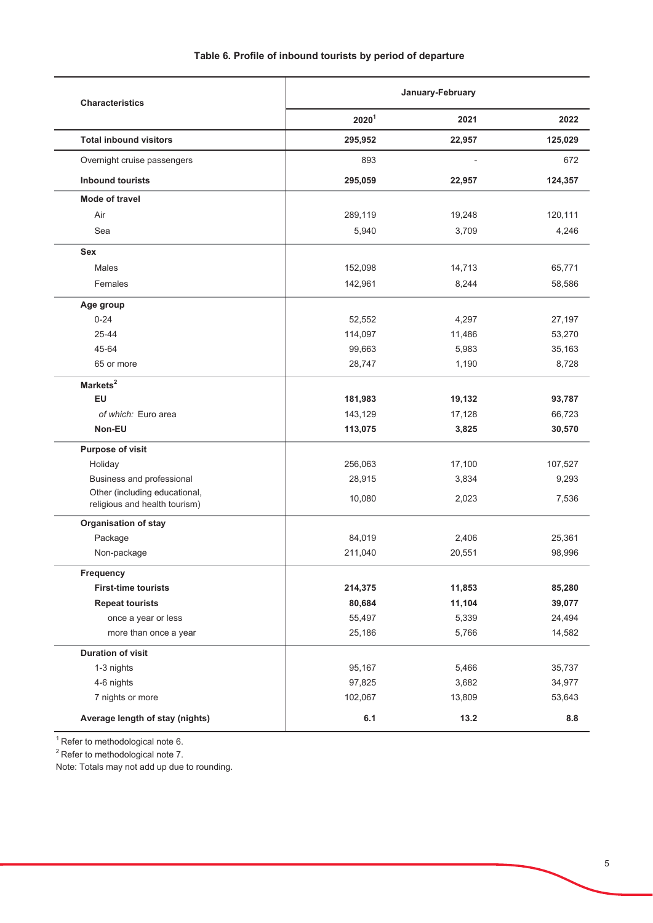| <b>Characteristics</b>                                         | January-February  |        |         |
|----------------------------------------------------------------|-------------------|--------|---------|
|                                                                | 2020 <sup>1</sup> | 2021   | 2022    |
| <b>Total inbound visitors</b>                                  | 295,952           | 22,957 | 125,029 |
| Overnight cruise passengers                                    | 893               |        | 672     |
| <b>Inbound tourists</b>                                        | 295,059           | 22,957 | 124,357 |
| Mode of travel                                                 |                   |        |         |
| Air                                                            | 289,119           | 19,248 | 120,111 |
| Sea                                                            | 5,940             | 3,709  | 4,246   |
| Sex                                                            |                   |        |         |
| Males                                                          | 152,098           | 14,713 | 65,771  |
| Females                                                        | 142,961           | 8,244  | 58,586  |
| Age group                                                      |                   |        |         |
| $0 - 24$                                                       | 52,552            | 4,297  | 27,197  |
| 25-44                                                          | 114,097           | 11,486 | 53,270  |
| 45-64                                                          | 99,663            | 5,983  | 35,163  |
| 65 or more                                                     | 28,747            | 1,190  | 8,728   |
| Markets <sup>2</sup>                                           |                   |        |         |
| <b>EU</b>                                                      | 181,983           | 19,132 | 93,787  |
| of which: Euro area                                            | 143,129           | 17,128 | 66,723  |
| Non-EU                                                         | 113,075           | 3,825  | 30,570  |
| <b>Purpose of visit</b>                                        |                   |        |         |
| Holiday                                                        | 256,063           | 17,100 | 107,527 |
| Business and professional                                      | 28,915            | 3,834  | 9,293   |
| Other (including educational,<br>religious and health tourism) | 10,080            | 2,023  | 7,536   |
| <b>Organisation of stay</b>                                    |                   |        |         |
| Package                                                        | 84,019            | 2,406  | 25,361  |
| Non-package                                                    | 211,040           | 20,551 | 98,996  |
| Frequency                                                      |                   |        |         |
| <b>First-time tourists</b>                                     | 214,375           | 11,853 | 85,280  |
| <b>Repeat tourists</b>                                         | 80,684            | 11,104 | 39,077  |
| once a year or less                                            | 55,497            | 5,339  | 24,494  |
| more than once a year                                          | 25,186            | 5,766  | 14,582  |
| <b>Duration of visit</b>                                       |                   |        |         |
| 1-3 nights                                                     | 95,167            | 5,466  | 35,737  |
| 4-6 nights                                                     | 97,825            | 3,682  | 34,977  |
| 7 nights or more                                               | 102,067           | 13,809 | 53,643  |
| Average length of stay (nights)                                | 6.1               | 13.2   | 8.8     |

 $1$  Refer to methodological note 6.

<sup>2</sup> Refer to methodological note 7.

Note: Totals may not add up due to rounding.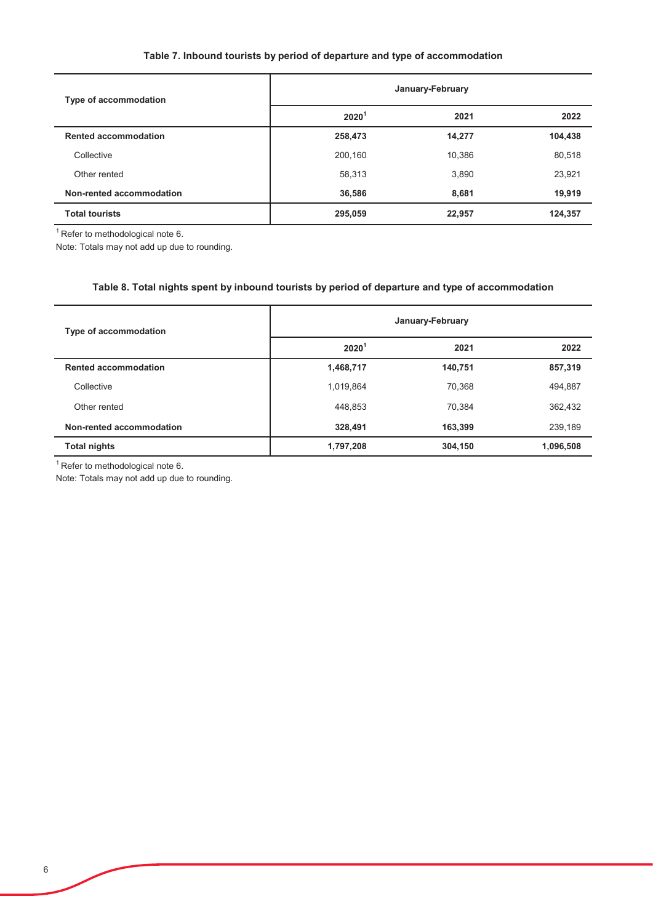## Table 7. Inbound tourists by period of departure and type of accommodation

| Type of accommodation       | January-February  |        |         |  |  |
|-----------------------------|-------------------|--------|---------|--|--|
|                             | 2020 <sup>1</sup> | 2021   | 2022    |  |  |
| <b>Rented accommodation</b> | 258,473           | 14,277 | 104,438 |  |  |
| Collective                  | 200,160           | 10,386 | 80,518  |  |  |
| Other rented                | 58,313            | 3,890  | 23,921  |  |  |
| Non-rented accommodation    | 36,586            | 8.681  | 19,919  |  |  |
| <b>Total tourists</b>       | 295,059           | 22,957 | 124,357 |  |  |

 $\overline{1}$ Refer to methodological note 6.

Note: Totals may not add up due to rounding.

## Table 8. Total nights spent by inbound tourists by period of departure and type of accommodation

| Type of accommodation       | January-February  |         |           |  |
|-----------------------------|-------------------|---------|-----------|--|
|                             | 2020 <sup>1</sup> | 2021    | 2022      |  |
| <b>Rented accommodation</b> | 1,468,717         | 140,751 | 857,319   |  |
| Collective                  | 1,019,864         | 70,368  | 494,887   |  |
| Other rented                | 448,853           | 70,384  | 362,432   |  |
| Non-rented accommodation    | 328,491           | 163,399 | 239,189   |  |
| <b>Total nights</b>         | 1,797,208         | 304,150 | 1,096,508 |  |

 $1$ Refer to methodological note 6.

Note: Totals may not add up due to rounding.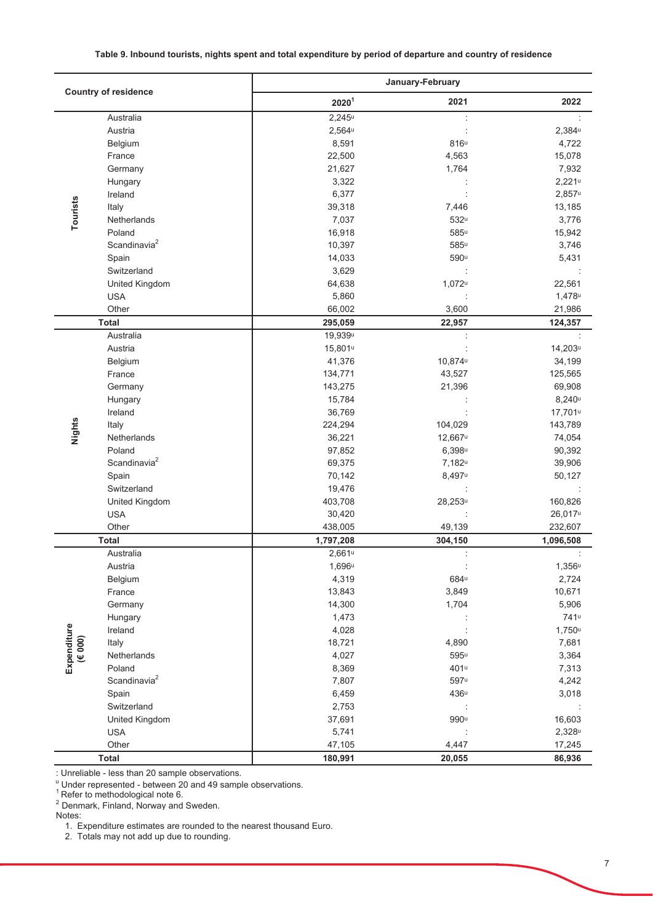#### Table 9. Inbound tourists, nights spent and total expenditure by period of departure and country of residence

|                  |                             | January-February    |                     |                  |
|------------------|-----------------------------|---------------------|---------------------|------------------|
|                  | <b>Country of residence</b> | 2020 <sup>1</sup>   | 2021                | 2022             |
|                  | Australia                   | $2,245^u$           |                     |                  |
|                  | Austria                     | $2,564$ u           |                     | $2,384$ u        |
|                  | Belgium                     | 8,591               | 816u                | 4,722            |
|                  | France                      | 22,500              | 4,563               | 15,078           |
|                  | Germany                     | 21,627              | 1,764               | 7,932            |
|                  | Hungary                     | 3,322               |                     | $2,221$ u        |
|                  | Ireland                     | 6,377               |                     | $2,857$ u        |
| Tourists         | Italy                       | 39,318              | 7,446               | 13,185           |
|                  | Netherlands                 | 7,037               | 532u                | 3,776            |
|                  | Poland                      | 16,918              | 585u                | 15,942           |
|                  | Scandinavia <sup>2</sup>    | 10,397              | 585u                | 3,746            |
|                  | Spain                       | 14,033              | 590u                | 5,431            |
|                  | Switzerland                 | 3,629               |                     |                  |
|                  | United Kingdom              | 64,638              | 1,072u              | 22,561           |
|                  | <b>USA</b>                  | 5,860               |                     | 1,478u           |
|                  | Other                       | 66,002              | 3,600               | 21,986           |
|                  | <b>Total</b>                | 295,059             | 22,957              | 124,357          |
|                  | Australia                   | 19,939u             |                     |                  |
|                  | Austria                     | 15,801 <sup>u</sup> |                     | 14,203u          |
|                  | Belgium                     | 41,376              | 10,874u             | 34,199           |
|                  | France                      | 134,771             | 43,527              | 125,565          |
|                  | Germany                     | 143,275             | 21,396              | 69,908           |
|                  | Hungary                     | 15,784              |                     | $8,240^u$        |
|                  | Ireland                     | 36,769              |                     | 17,701u          |
| Nights           | Italy                       | 224,294             | 104,029             | 143,789          |
|                  | Netherlands                 | 36,221              | 12,667 <sup>u</sup> | 74,054           |
|                  | Poland                      | 97,852              | $6,398^u$           | 90,392           |
|                  | Scandinavia <sup>2</sup>    | 69,375              | 7,182 <sup>u</sup>  | 39,906           |
|                  | Spain                       | 70,142              | 8,497u              | 50,127           |
|                  | Switzerland                 | 19,476              |                     |                  |
|                  | United Kingdom              | 403,708             | 28,253u             | 160,826          |
|                  | <b>USA</b>                  | 30,420              |                     | 26,017u          |
|                  | Other                       | 438,005             | 49,139              | 232,607          |
|                  | <b>Total</b>                | 1,797,208           | 304,150             | 1,096,508        |
|                  | Australia                   | $2,661$ u           | ÷                   |                  |
|                  | Austria                     | 1,696 <sup>u</sup>  |                     | $1,356^u$        |
|                  | Belgium                     | 4,319               | 684 <sup>u</sup>    | 2,724            |
|                  | France                      | 13,843              | 3,849               | 10,671           |
|                  | Germany                     | 14,300              | 1,704               | 5,906            |
|                  | Hungary                     | 1,473               |                     | 741 <sup>u</sup> |
| Expenditure      | Ireland                     | 4,028               |                     | $1,750$ u        |
| $(\epsilon 000)$ | Italy                       | 18,721              | 4,890               | 7,681            |
|                  | Netherlands                 | 4,027               | $595^{\mathrm{u}}$  | 3,364            |
|                  | Poland                      | 8,369               | 401 <sup>u</sup>    | 7,313            |
|                  | Scandinavia <sup>2</sup>    | 7,807               | $597^u$             | 4,242            |
|                  | Spain                       | 6,459               | 436 <sup>u</sup>    | 3,018            |
|                  | Switzerland                 | 2,753               |                     |                  |
|                  | United Kingdom              | 37,691              | 990u                | 16,603           |
|                  | <b>USA</b>                  | 5,741               |                     | $2,328^u$        |
|                  | Other                       | 47,105              | 4,447               | 17,245           |
|                  | <b>Total</b>                | 180,991             | 20,055              | 86,936           |

: Unreliable - less than 20 sample observations.

Under represented - between 20 and 49 sample observations.<br>
Refer to methodological note 6.

<sup>2</sup> Denmark, Finland, Norway and Sweden.

1. Expenditure estimates are rounded to the nearest thousand Euro.<br>2. Totals may not add up due to rounding.

Notes: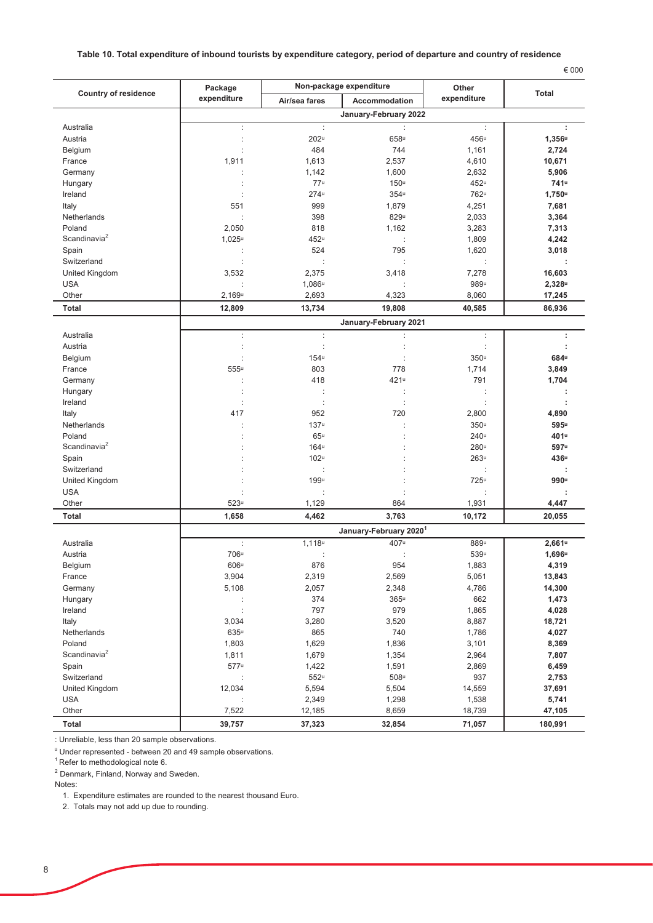#### Table 10. Total expenditure of inbound tourists by expenditure category, period of departure and country of residence

| $\sim$<br>. |
|-------------|
|-------------|

|                             | Package            |                    | Non-package expenditure            | Other                |                    |
|-----------------------------|--------------------|--------------------|------------------------------------|----------------------|--------------------|
| <b>Country of residence</b> | expenditure        | Air/sea fares      | Accommodation                      | expenditure          | <b>Total</b>       |
|                             |                    |                    | January-February 2022              |                      |                    |
| Australia                   | ÷                  | ÷                  | $\ddot{\phantom{a}}$               | ÷                    | ÷                  |
| Austria                     |                    | 202 <sup>u</sup>   | 658u                               | 456u                 | $1,356$ u          |
| Belgium                     |                    | 484                | 744                                | 1,161                | 2,724              |
| France                      | 1,911              | 1,613              | 2,537                              | 4,610                | 10,671             |
| Germany                     |                    | 1,142              | 1,600                              | 2,632                | 5,906              |
| Hungary                     |                    | 77 <sup>u</sup>    | 150u                               | 452u                 | 741u               |
| Ireland                     |                    | 274u               | 354u                               | 762u                 | $1,750$ u          |
| Italy                       | 551                | 999                | 1,879                              | 4,251                | 7,681              |
| Netherlands                 |                    | 398                | 829u                               | 2,033                | 3,364              |
| Poland                      | 2,050              | 818                | 1,162                              | 3,283                | 7,313              |
| Scandinavia <sup>2</sup>    | $1,025^u$          | 452u               | ÷                                  | 1,809                | 4,242              |
| Spain                       |                    | 524                | 795                                | 1,620                | 3,018              |
| Switzerland                 |                    |                    |                                    |                      |                    |
| United Kingdom              | 3,532              | 2,375              | 3,418                              | 7,278                | 16,603             |
| <b>USA</b>                  |                    | 1,086 <sup>u</sup> |                                    | 989u                 | 2,328u             |
| Other                       | 2,169 <sup>u</sup> | 2,693              | 4,323                              | 8,060                | 17,245             |
| <b>Total</b>                | 12,809             | 13,734             | 19,808                             | 40,585               | 86,936             |
|                             |                    |                    | January-February 2021              |                      |                    |
| Australia                   | ÷                  | ÷                  | t                                  | $\ddot{\phantom{a}}$ | ÷                  |
| Austria                     | ÷                  | ÷                  |                                    | ÷                    | t                  |
| Belgium                     |                    | 154u               |                                    | 350 <sup>u</sup>     | 684u               |
| France                      | 555u               | 803                | 778                                | 1,714                | 3,849              |
| Germany                     |                    | 418                | 421u                               | 791                  | 1,704              |
| Hungary                     | ÷                  |                    | $\ddot{\cdot}$                     | $\ddot{\phantom{a}}$ | t                  |
| Ireland                     |                    |                    |                                    |                      |                    |
| Italy                       | 417                | 952                | 720                                | 2,800                | 4,890              |
| Netherlands                 |                    | 137u               |                                    | 350 <sup>u</sup>     | 595u               |
| Poland                      |                    | 65 <sup>u</sup>    |                                    | 240 <sup>u</sup>     | 401 <sup>u</sup>   |
| Scandinavia <sup>2</sup>    |                    | 164 <sup>u</sup>   |                                    | 280 <sup>u</sup>     | 597u               |
| Spain                       |                    | 102 <sup>u</sup>   |                                    | 263 <sup>u</sup>     | 436u               |
| Switzerland                 |                    |                    |                                    |                      |                    |
| United Kingdom              |                    | 199u               |                                    | 725u                 | 990u               |
| <b>USA</b>                  |                    |                    |                                    |                      |                    |
| Other                       | 523 <sup>u</sup>   | 1,129              | 864                                | 1,931                | 4,447              |
| Total                       | 1,658              | 4,462              | 3,763                              | 10,172               | 20,055             |
|                             |                    |                    | January-February 2020 <sup>1</sup> |                      |                    |
| Australia                   | ÷                  | $1,118$ u          | 407u                               | 889u                 | $2,661$ u          |
| Austria                     | 706u               |                    |                                    | 539u                 | 1,696 <sup>u</sup> |
| Belgium                     | 606u               | 876                | 954                                | 1,883                | 4,319              |
| France                      | 3,904              | 2,319              | 2,569                              | 5,051                | 13,843             |
| Germany                     | 5,108              | 2,057              | 2,348                              | 4,786                | 14,300             |
| Hungary                     |                    | 374                | $365^u$                            | 662                  | 1,473              |
| Ireland                     |                    | 797                | 979                                | 1,865                | 4,028              |
| Italy                       | 3,034              | 3,280              | 3,520                              | 8,887                | 18,721             |
| Netherlands                 | $635^u$            | 865                | 740                                | 1,786                | 4,027              |
| Poland                      | 1,803              | 1,629              | 1,836                              | 3,101                | 8,369              |
| Scandinavia <sup>2</sup>    | 1,811              | 1,679              | 1,354                              | 2,964                | 7,807              |
| Spain                       | 577u               | 1,422              | 1,591                              | 2,869                | 6,459              |
| Switzerland                 |                    | $552^u$            | 508 <sup>u</sup>                   | 937                  | 2,753              |
| United Kingdom              | 12,034             | 5,594              | 5,504                              | 14,559               | 37,691             |
| <b>USA</b>                  | ÷                  | 2,349              | 1,298                              | 1,538                | 5,741              |
| Other                       | 7,522              | 12,185             | 8,659                              | 18,739               | 47,105             |
| Total                       | 39,757             | 37,323             | 32,854                             | 71,057               | 180,991            |

: Unreliable, less than 20 sample observations.

" Under represented - between 20 and 49 sample observations.

Refer to methodological note 6.

<sup>2</sup> Denmark, Finland, Norway and Sweden.

Notes:

1. Expenditure estimates are rounded to the nearest thousand Euro.

2. Totals may not add up due to rounding.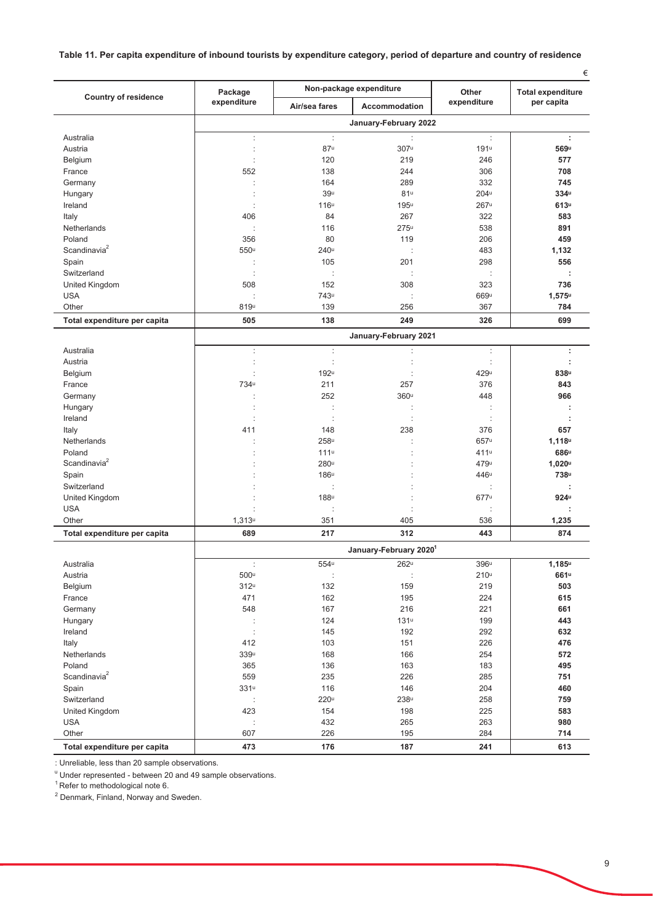## Table 11. Per capita expenditure of inbound tourists by expenditure category, period of departure and country of residence

|                              | Non-package expenditure |                  |                        | €                    |                                        |
|------------------------------|-------------------------|------------------|------------------------|----------------------|----------------------------------------|
| <b>Country of residence</b>  | Package<br>expenditure  | Air/sea fares    | <b>Accommodation</b>   | Other<br>expenditure | <b>Total expenditure</b><br>per capita |
|                              |                         |                  | January-February 2022  |                      |                                        |
| Australia                    | ÷                       | ÷                | ÷                      | ÷                    | ÷                                      |
| Austria                      |                         | 87 <sup>u</sup>  | 307u                   | 191 <sup>u</sup>     | 569u                                   |
| Belgium                      |                         | 120              | 219                    | 246                  | 577                                    |
| France                       | 552                     | 138              | 244                    | 306                  | 708                                    |
| Germany                      |                         | 164              | 289                    | 332                  | 745                                    |
| Hungary                      |                         | 39 <sup>u</sup>  | 81 <sup>u</sup>        | 204 <sup>u</sup>     | 334u                                   |
| Ireland                      |                         | 116 <sup>u</sup> | 195u                   | 267 <sup>u</sup>     | 613 <sup>u</sup>                       |
| Italy                        | 406                     | 84               | 267                    | 322                  | 583                                    |
| Netherlands                  | ÷                       | 116              | 275 <sup>u</sup>       | 538                  | 891                                    |
| Poland                       | 356                     | 80               | 119                    | 206                  | 459                                    |
| Scandinavia <sup>2</sup>     | 550u                    | 240 <sup>u</sup> | ÷                      | 483                  | 1,132                                  |
| Spain                        | ÷                       | 105              | 201                    | 298                  | 556                                    |
| Switzerland                  |                         |                  |                        |                      |                                        |
| <b>United Kingdom</b>        | 508                     | 152              | 308                    | 323                  | 736                                    |
| <b>USA</b>                   |                         | 743u             | ÷                      | 669u                 | $1,575$ u                              |
| Other                        | 819u                    | 139              | 256                    | 367                  | 784                                    |
| Total expenditure per capita | 505                     | 138              | 249                    | 326                  | 699                                    |
|                              |                         |                  | January-February 2021  |                      |                                        |
| Australia                    | ÷                       | ÷                |                        | ÷                    | ÷                                      |
| Austria                      |                         | ċ                | Ì                      |                      | t                                      |
| Belgium                      | t                       | 192u             | ÷                      | 429u                 | 838u                                   |
| France                       | 734u                    | 211<br>252       | 257<br>360u            | 376<br>448           | 843<br>966                             |
| Germany                      | ÷                       |                  |                        |                      | ÷                                      |
| Hungary<br>Ireland           |                         | ÷                | ÷                      | ÷                    |                                        |
| Italy                        | 411                     | 148              | 238                    | 376                  | 657                                    |
| Netherlands                  |                         | 258u             |                        | 657u                 | 1,118 <sup>u</sup>                     |
| Poland                       |                         | 111u             |                        | 411 <sup>u</sup>     | 686u                                   |
| Scandinavia <sup>2</sup>     |                         | 280 <sup>u</sup> |                        | 479u                 | $1,020^u$                              |
| Spain                        |                         | 186 <sup>u</sup> |                        | 446u                 | 738u                                   |
| Switzerland                  |                         |                  |                        |                      |                                        |
| United Kingdom               |                         | 188u             |                        | 677u                 | 924 <sup>u</sup>                       |
| <b>USA</b>                   |                         |                  |                        |                      |                                        |
| Other                        | 1,313 <sup>u</sup>      | 351              | 405                    | 536                  | 1,235                                  |
| Total expenditure per capita | 689                     | 217              | 312                    | 443                  | 874                                    |
|                              |                         |                  | January-February 20201 |                      |                                        |
| Australia                    | ÷                       | 554 <sup>u</sup> | $262^u$                | 396 <sup>u</sup>     | $1,185^u$                              |
| Austria                      | $500^{\mathrm{u}}$      |                  | þ                      | 210 <sup>u</sup>     | 661 <sup>u</sup>                       |
| Belgium                      | $312^u$                 | 132              | 159                    | 219                  | 503                                    |
| France                       | 471                     | 162              | 195                    | 224                  | 615                                    |
| Germany                      | 548                     | 167              | 216                    | 221                  | 661                                    |
| Hungary                      |                         | 124              | $131^u$                | 199                  | 443                                    |
| Ireland                      | ÷                       | 145              | 192                    | 292                  | 632                                    |
| Italy                        | 412                     | 103              | 151                    | 226                  | 476                                    |
| Netherlands                  | 339 <sup>u</sup>        | 168              | 166                    | 254                  | 572                                    |
| Poland                       | 365                     | 136              | 163                    | 183                  | 495                                    |
| Scandinavia <sup>2</sup>     | 559                     | 235              | 226                    | 285                  | 751                                    |
| Spain                        | $331^u$                 | 116              | 146                    | 204                  | 460                                    |
| Switzerland                  |                         | 220 <sup>u</sup> | 238 <sup>u</sup>       | 258                  | 759                                    |
| United Kingdom               | 423                     | 154              | 198                    | 225                  | 583                                    |
| <b>USA</b>                   | ÷                       | 432              | 265                    | 263                  | 980                                    |
| Other                        | 607                     | 226              | 195                    | 284                  | 714                                    |
| Total expenditure per capita | 473                     | 176              | 187                    | 241                  | 613                                    |

: Unreliable, less than 20 sample observations.

" Under represented - between 20 and 49 sample observations.

<sup>1</sup> Refer to methodological note 6.

<sup>2</sup> Denmark, Finland, Norway and Sweden.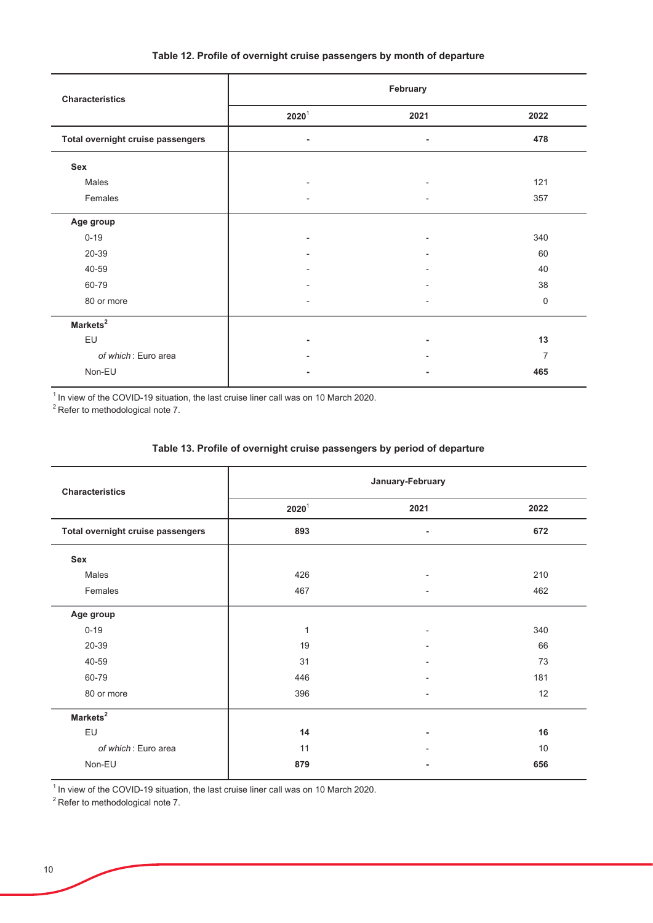| Table 12. Profile of overnight cruise passengers by month of departure |  |  |
|------------------------------------------------------------------------|--|--|
|                                                                        |  |  |

| <b>Characteristics</b>            | February              |                          |                |
|-----------------------------------|-----------------------|--------------------------|----------------|
|                                   | $\boldsymbol{2020}^1$ | 2021                     | 2022           |
| Total overnight cruise passengers | ٠                     | ٠                        | 478            |
| Sex                               |                       |                          |                |
| Males                             |                       | $\overline{\phantom{0}}$ | 121            |
| Females                           |                       | ۰                        | 357            |
| Age group                         |                       |                          |                |
| $0 - 19$                          |                       | ۰                        | 340            |
| 20-39                             |                       |                          | 60             |
| 40-59                             |                       |                          | 40             |
| 60-79                             |                       |                          | 38             |
| 80 or more                        |                       | $\overline{\phantom{0}}$ | $\mathbf 0$    |
| Markets <sup>2</sup>              |                       |                          |                |
| EU                                |                       | ۰                        | 13             |
| of which: Euro area               |                       |                          | $\overline{7}$ |
| Non-EU                            |                       |                          | 465            |

 $^1$  In view of the COVID-19 situation, the last cruise liner call was on 10 March 2020.

 $^2$ Refer to methodological note 7.

| <b>Characteristics</b>            | January-February             |                          |      |
|-----------------------------------|------------------------------|--------------------------|------|
|                                   | $\boldsymbol{2020}^\text{1}$ | 2021                     | 2022 |
| Total overnight cruise passengers | 893                          | ٠                        | 672  |
| Sex                               |                              |                          |      |
| Males                             | 426                          | $\overline{\phantom{0}}$ | 210  |
| Females                           | 467                          | $\overline{\phantom{a}}$ | 462  |
| Age group                         |                              |                          |      |
| $0 - 19$                          | $\mathbf{1}$                 | ٠                        | 340  |
| 20-39                             | 19                           |                          | 66   |
| 40-59                             | 31                           |                          | 73   |
| 60-79                             | 446                          |                          | 181  |
| 80 or more                        | 396                          |                          | 12   |
| Markets <sup>2</sup>              |                              |                          |      |
| EU                                | 14                           | ٠                        | 16   |
| of which: Euro area               | 11                           |                          | 10   |
| Non-EU                            | 879                          |                          | 656  |

 $^1$  In view of the COVID-19 situation, the last cruise liner call was on 10 March 2020.

 $2$ Refer to methodological note 7.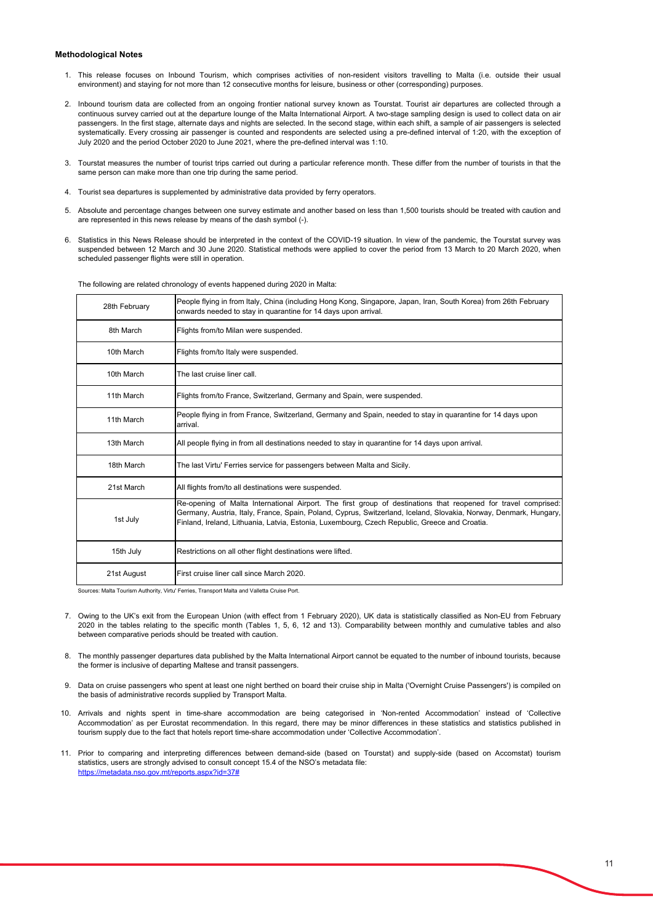#### **Methodological Notes**

- 1. This release focuses on Inbound Tourism, which comprises activities of non-resident visitors travelling to Malta (i.e. outside their usual environment) and staying for not more than 12 consecutive months for leisure, business or other (corresponding) purposes.
- 2. Inbound tourism data are collected from an ongoing frontier national survey known as Tourstat. Tourist air departures are collected through a continuous survey carried out at the departure lounge of the Malta International Airport. A two-stage sampling design is used to collect data on air passengers. In the first stage, alternate days and nights are selected. In the second stage, within each shift, a sample of air passengers is selected systematically. Every crossing air passenger is counted and respondents are selected using a pre-defined interval of 1:20, with the exception of July 2020 and the period October 2020 to June 2021, where the pre-defined interval was 1:10.
- 3. Tourstat measures the number of tourist trips carried out during a particular reference month. These differ from the number of tourists in that the same person can make more than one trip during the same period.
- 4. Tourist sea departures is supplemented by administrative data provided by ferry operators.
- 5. Absolute and percentage changes between one survey estimate and another based on less than 1,500 tourists should be treated with caution and are represented in this news release by means of the dash symbol (-).
- 6. Statistics in this News Release should be interpreted in the context of the COVID-19 situation. In view of the pandemic, the Tourstat survey was suspended between 12 March and 30 June 2020. Statistical methods were applied to cover the period from 13 March to 20 March 2020, when scheduled passenger flights were still in operation.

| 28th February | People flying in from Italy, China (including Hong Kong, Singapore, Japan, Iran, South Korea) from 26th February<br>onwards needed to stay in quarantine for 14 days upon arrival.                                                                                                                                                   |
|---------------|--------------------------------------------------------------------------------------------------------------------------------------------------------------------------------------------------------------------------------------------------------------------------------------------------------------------------------------|
| 8th March     | Flights from/to Milan were suspended.                                                                                                                                                                                                                                                                                                |
| 10th March    | Flights from/to Italy were suspended.                                                                                                                                                                                                                                                                                                |
| 10th March    | The last cruise liner call.                                                                                                                                                                                                                                                                                                          |
| 11th March    | Flights from/to France, Switzerland, Germany and Spain, were suspended.                                                                                                                                                                                                                                                              |
| 11th March    | People flying in from France, Switzerland, Germany and Spain, needed to stay in quarantine for 14 days upon<br>arrival.                                                                                                                                                                                                              |
| 13th March    | All people flying in from all destinations needed to stay in quarantine for 14 days upon arrival.                                                                                                                                                                                                                                    |
| 18th March    | The last Virtu' Ferries service for passengers between Malta and Sicily.                                                                                                                                                                                                                                                             |
| 21st March    | All flights from/to all destinations were suspended.                                                                                                                                                                                                                                                                                 |
| 1st July      | Re-opening of Malta International Airport. The first group of destinations that reopened for travel comprised:<br>Germany, Austria, Italy, France, Spain, Poland, Cyprus, Switzerland, Iceland, Slovakia, Norway, Denmark, Hungary,<br>Finland, Ireland, Lithuania, Latvia, Estonia, Luxembourg, Czech Republic, Greece and Croatia. |
| 15th July     | Restrictions on all other flight destinations were lifted.                                                                                                                                                                                                                                                                           |
| 21st August   | First cruise liner call since March 2020.                                                                                                                                                                                                                                                                                            |

The following are related chronology of events happened during 2020 in Malta:

Sources: Malta Tourism Authority, Virtu' Ferries, Transport Malta and Valletta Cruise Port.

- 7. Owing to the UK's exit from the European Union (with effect from 1 February 2020), UK data is statistically classified as Non-EU from February 2020 in the tables relating to the specific month (Tables 1, 5, 6, 12 and 13). Comparability between monthly and cumulative tables and also between comparative periods should be treated with caution.
- 8. The monthly passenger departures data published by the Malta International Airport cannot be equated to the number of inbound tourists, because the former is inclusive of departing Maltese and transit passengers.
- 9. Data on cruise passengers who spent at least one night berthed on board their cruise ship in Malta ('Overnight Cruise Passengers') is compiled on the basis of administrative records supplied by Transport Malta.
- 10. Arrivals and nights spent in time-share accommodation are being categorised in 'Non-rented Accommodation' instead of 'Collective Accommodation' as per Eurostat recommendation. In this regard, there may be minor differences in these statistics and statistics published in tourism supply due to the fact that hotels report time-share accommodation under 'Collective Accommodation'.
- 11. Prior to comparing and interpreting differences between demand-side (based on Tourstat) and supply-side (based on Accomstat) tourism statistics, users are strongly advised to consult concept 15.4 of the NSO's metadata file: <https://metadata.nso.gov.mt/reports.aspx?id=37#>